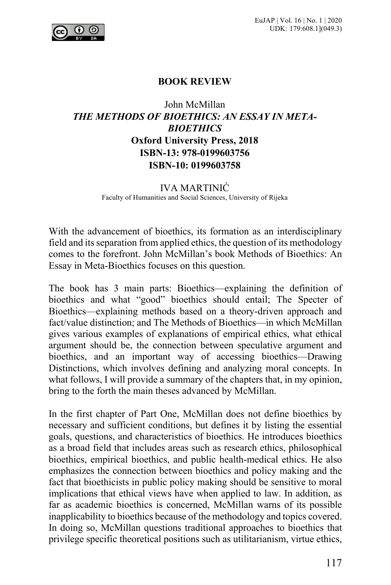

## **BOOK REVIEW**

## John McMillan *THE METHODS OF BIOETHICS: AN ESSAY IN META-BIOETHICS* **Oxford University Press, 2018 ISBN-13: 978-0199603756 ISBN-10: 0199603758**

## IVA MARTINIĆ Faculty of Humanities and Social Sciences, University of Rijeka

With the advancement of bioethics, its formation as an interdisciplinary field and its separation from applied ethics, the question of its methodology comes to the forefront. John McMillan's book Methods of Bioethics: An Essay in Meta-Bioethics focuses on this question.

The book has 3 main parts: Bioethics—explaining the definition of bioethics and what "good" bioethics should entail; The Specter of Bioethics—explaining methods based on a theory-driven approach and fact/value distinction; and The Methods of Bioethics—in which McMillan gives various examples of explanations of empirical ethics, what ethical argument should be, the connection between speculative argument and bioethics, and an important way of accessing bioethics—Drawing Distinctions, which involves defining and analyzing moral concepts. In what follows, I will provide a summary of the chapters that, in my opinion, bring to the forth the main theses advanced by McMillan.

In the first chapter of Part One, McMillan does not define bioethics by necessary and sufficient conditions, but defines it by listing the essential goals, questions, and characteristics of bioethics. He introduces bioethics as a broad field that includes areas such as research ethics, philosophical bioethics, empirical bioethics, and public health-medical ethics. He also emphasizes the connection between bioethics and policy making and the fact that bioethicists in public policy making should be sensitive to moral implications that ethical views have when applied to law. In addition, as far as academic bioethics is concerned, McMillan warns of its possible inapplicability to bioethics because of the methodology and topics covered. In doing so, McMillan questions traditional approaches to bioethics that privilege specific theoretical positions such as utilitarianism, virtue ethics,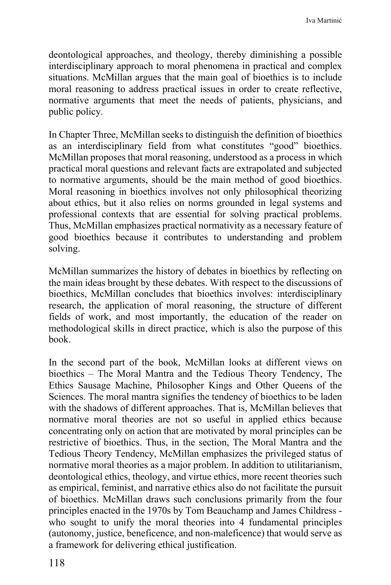deontological approaches, and theology, thereby diminishing a possible interdisciplinary approach to moral phenomena in practical and complex situations. McMillan argues that the main goal of bioethics is to include moral reasoning to address practical issues in order to create reflective, normative arguments that meet the needs of patients, physicians, and public policy.

In Chapter Three, McMillan seeks to distinguish the definition of bioethics as an interdisciplinary field from what constitutes "good" bioethics. McMillan proposes that moral reasoning, understood as a process in which practical moral questions and relevant facts are extrapolated and subjected to normative arguments, should be the main method of good bioethics. Moral reasoning in bioethics involves not only philosophical theorizing about ethics, but it also relies on norms grounded in legal systems and professional contexts that are essential for solving practical problems. Thus, McMillan emphasizes practical normativity as a necessary feature of good bioethics because it contributes to understanding and problem solving.

McMillan summarizes the history of debates in bioethics by reflecting on the main ideas brought by these debates. With respect to the discussions of bioethics, McMillan concludes that bioethics involves: interdisciplinary research, the application of moral reasoning, the structure of different fields of work, and most importantly, the education of the reader on methodological skills in direct practice, which is also the purpose of this book.

In the second part of the book, McMillan looks at different views on bioethics – The Moral Mantra and the Tedious Theory Tendency, The Ethics Sausage Machine, Philosopher Kings and Other Queens of the Sciences. The moral mantra signifies the tendency of bioethics to be laden with the shadows of different approaches. That is, McMillan believes that normative moral theories are not so useful in applied ethics because concentrating only on action that are motivated by moral principles can be restrictive of bioethics. Thus, in the section, The Moral Mantra and the Tedious Theory Tendency, McMillan emphasizes the privileged status of normative moral theories as a major problem. In addition to utilitarianism, deontological ethics, theology, and virtue ethics, more recent theories such as empirical, feminist, and narrative ethics also do not facilitate the pursuit of bioethics. McMillan draws such conclusions primarily from the four principles enacted in the 1970s by Tom Beauchamp and James Childress who sought to unify the moral theories into 4 fundamental principles (autonomy, justice, beneficence, and non-maleficence) that would serve as a framework for delivering ethical justification.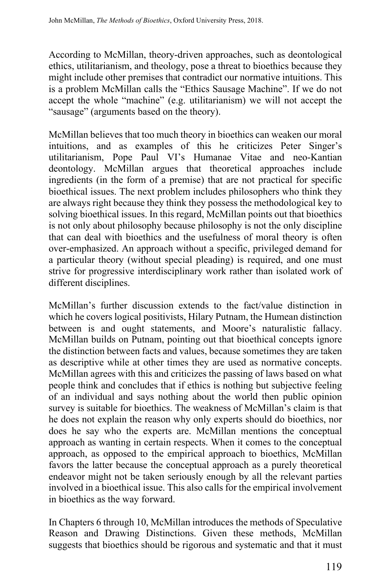According to McMillan, theory-driven approaches, such as deontological ethics, utilitarianism, and theology, pose a threat to bioethics because they might include other premises that contradict our normative intuitions. This is a problem McMillan calls the "Ethics Sausage Machine". If we do not accept the whole "machine" (e.g. utilitarianism) we will not accept the "sausage" (arguments based on the theory).

McMillan believes that too much theory in bioethics can weaken our moral intuitions, and as examples of this he criticizes Peter Singer's utilitarianism, Pope Paul VI's Humanae Vitae and neo-Kantian deontology. McMillan argues that theoretical approaches include ingredients (in the form of a premise) that are not practical for specific bioethical issues. The next problem includes philosophers who think they are always right because they think they possess the methodological key to solving bioethical issues. In this regard, McMillan points out that bioethics is not only about philosophy because philosophy is not the only discipline that can deal with bioethics and the usefulness of moral theory is often over-emphasized. An approach without a specific, privileged demand for a particular theory (without special pleading) is required, and one must strive for progressive interdisciplinary work rather than isolated work of different disciplines.

McMillan's further discussion extends to the fact/value distinction in which he covers logical positivists, Hilary Putnam, the Humean distinction between is and ought statements, and Moore's naturalistic fallacy. McMillan builds on Putnam, pointing out that bioethical concepts ignore the distinction between facts and values, because sometimes they are taken as descriptive while at other times they are used as normative concepts. McMillan agrees with this and criticizes the passing of laws based on what people think and concludes that if ethics is nothing but subjective feeling of an individual and says nothing about the world then public opinion survey is suitable for bioethics. The weakness of McMillan's claim is that he does not explain the reason why only experts should do bioethics, nor does he say who the experts are. McMillan mentions the conceptual approach as wanting in certain respects. When it comes to the conceptual approach, as opposed to the empirical approach to bioethics, McMillan favors the latter because the conceptual approach as a purely theoretical endeavor might not be taken seriously enough by all the relevant parties involved in a bioethical issue. This also calls for the empirical involvement in bioethics as the way forward.

In Chapters 6 through 10, McMillan introduces the methods of Speculative Reason and Drawing Distinctions. Given these methods, McMillan suggests that bioethics should be rigorous and systematic and that it must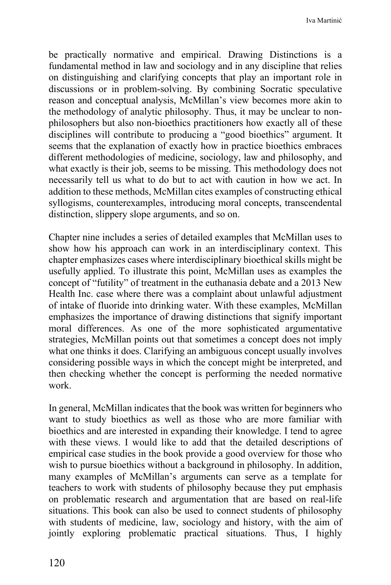be practically normative and empirical. Drawing Distinctions is a fundamental method in law and sociology and in any discipline that relies on distinguishing and clarifying concepts that play an important role in discussions or in problem-solving. By combining Socratic speculative reason and conceptual analysis, McMillan's view becomes more akin to the methodology of analytic philosophy. Thus, it may be unclear to nonphilosophers but also non-bioethics practitioners how exactly all of these disciplines will contribute to producing a "good bioethics" argument. It seems that the explanation of exactly how in practice bioethics embraces different methodologies of medicine, sociology, law and philosophy, and what exactly is their job, seems to be missing. This methodology does not necessarily tell us what to do but to act with caution in how we act. In addition to these methods, McMillan cites examples of constructing ethical syllogisms, counterexamples, introducing moral concepts, transcendental distinction, slippery slope arguments, and so on.

Chapter nine includes a series of detailed examples that McMillan uses to show how his approach can work in an interdisciplinary context. This chapter emphasizes cases where interdisciplinary bioethical skills might be usefully applied. To illustrate this point, McMillan uses as examples the concept of "futility" of treatment in the euthanasia debate and a 2013 New Health Inc. case where there was a complaint about unlawful adjustment of intake of fluoride into drinking water. With these examples, McMillan emphasizes the importance of drawing distinctions that signify important moral differences. As one of the more sophisticated argumentative strategies, McMillan points out that sometimes a concept does not imply what one thinks it does. Clarifying an ambiguous concept usually involves considering possible ways in which the concept might be interpreted, and then checking whether the concept is performing the needed normative work.

In general, McMillan indicates that the book was written for beginners who want to study bioethics as well as those who are more familiar with bioethics and are interested in expanding their knowledge. I tend to agree with these views. I would like to add that the detailed descriptions of empirical case studies in the book provide a good overview for those who wish to pursue bioethics without a background in philosophy. In addition, many examples of McMillan's arguments can serve as a template for teachers to work with students of philosophy because they put emphasis on problematic research and argumentation that are based on real-life situations. This book can also be used to connect students of philosophy with students of medicine, law, sociology and history, with the aim of jointly exploring problematic practical situations. Thus, I highly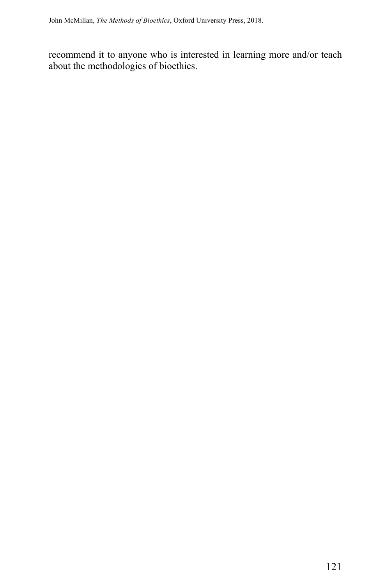recommend it to anyone who is interested in learning more and/or teach about the methodologies of bioethics.